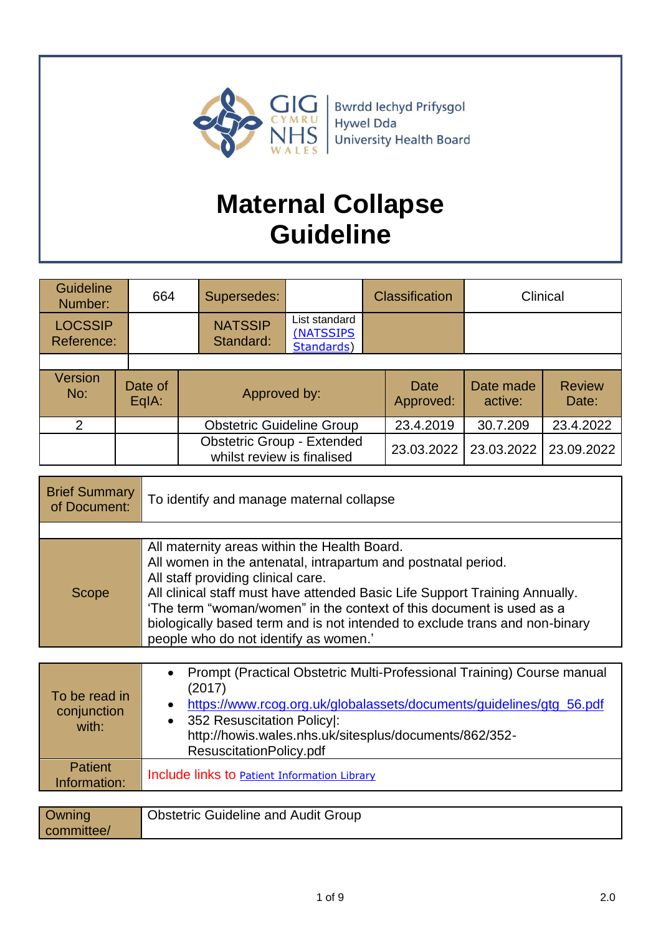

# **Maternal Collapse Guideline**

| <b>Guideline</b><br>Number:  |  | 664              | Supersedes:                                                     |                                          | <b>Classification</b> |                      | Clinical               |
|------------------------------|--|------------------|-----------------------------------------------------------------|------------------------------------------|-----------------------|----------------------|------------------------|
| <b>LOCSSIP</b><br>Reference: |  |                  | <b>NATSSIP</b><br>Standard:                                     | List standard<br>(NATSSIPS<br>Standards) |                       |                      |                        |
|                              |  |                  |                                                                 |                                          |                       |                      |                        |
| Version<br>No:               |  | Date of<br>EqIA: | Approved by:                                                    |                                          | Date<br>Approved:     | Date made<br>active: | <b>Review</b><br>Date: |
| $\mathcal{P}$                |  |                  | <b>Obstetric Guideline Group</b>                                |                                          | 23.4.2019             | 30.7.209             | 23.4.2022              |
|                              |  |                  | <b>Obstetric Group - Extended</b><br>whilst review is finalised |                                          | 23.03.2022            | 23.03.2022           | 23.09.2022             |

| <b>Brief Summary</b><br>of Document: | To identify and manage maternal collapse                                                                                                                                                                                                                                                                                                                                                                                           |
|--------------------------------------|------------------------------------------------------------------------------------------------------------------------------------------------------------------------------------------------------------------------------------------------------------------------------------------------------------------------------------------------------------------------------------------------------------------------------------|
|                                      |                                                                                                                                                                                                                                                                                                                                                                                                                                    |
| Scope                                | All maternity areas within the Health Board.<br>All women in the antenatal, intrapartum and postnatal period.<br>All staff providing clinical care.<br>All clinical staff must have attended Basic Life Support Training Annually.<br>'The term "woman/women" in the context of this document is used as a<br>biologically based term and is not intended to exclude trans and non-binary<br>people who do not identify as women.' |

| To be read in<br>conjunction<br>with: | Prompt (Practical Obstetric Multi-Professional Training) Course manual<br>(2017)<br>https://www.rcog.org.uk/globalassets/documents/guidelines/gtg_56.pdf<br>352 Resuscitation Policy :<br>http://howis.wales.nhs.uk/sitesplus/documents/862/352-<br>ResuscitationPolicy.pdf |
|---------------------------------------|-----------------------------------------------------------------------------------------------------------------------------------------------------------------------------------------------------------------------------------------------------------------------------|
| <b>Patient</b><br>Information:        | Include links to <b>Patient Information Library</b>                                                                                                                                                                                                                         |
|                                       | $\sim$ $\sim$ $\sim$ $\sim$ $\sim$ $\sim$ $\sim$ $\sim$<br>$\overline{\phantom{a}}$                                                                                                                                                                                         |

| <b>Owning</b> | <b>Obstetric Guideline and Audit Group</b> |
|---------------|--------------------------------------------|
| committee/    |                                            |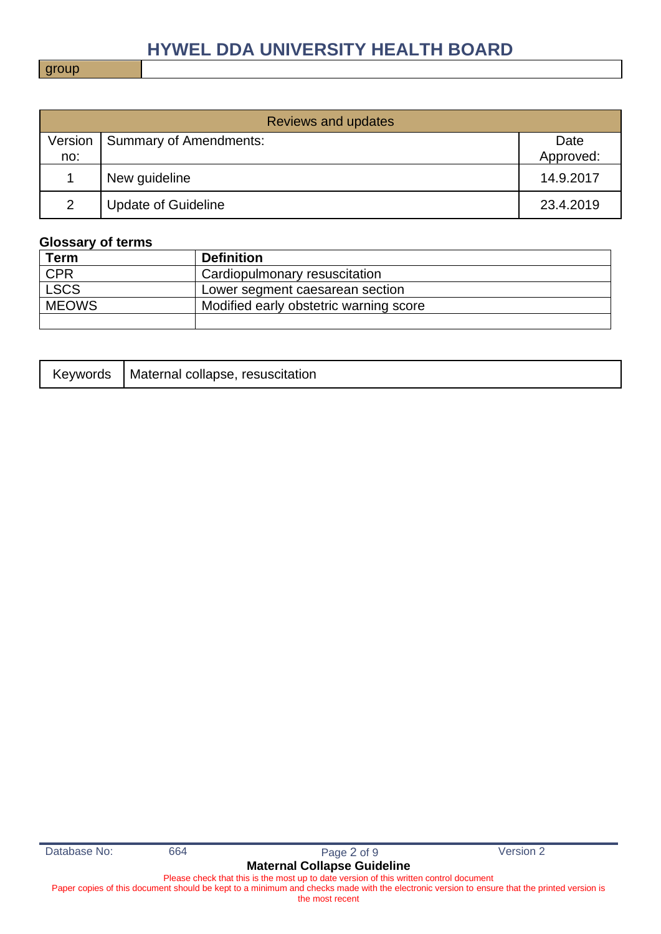group

| <b>Reviews and updates</b> |                            |           |  |
|----------------------------|----------------------------|-----------|--|
| Version                    | Summary of Amendments:     | Date      |  |
| no:                        |                            | Approved: |  |
|                            | New guideline              | 14.9.2017 |  |
| $\overline{2}$             | <b>Update of Guideline</b> | 23.4.2019 |  |

### **Glossary of terms**

| <b>Term</b>  | <b>Definition</b>                      |
|--------------|----------------------------------------|
| <b>CPR</b>   | Cardiopulmonary resuscitation          |
| <b>LSCS</b>  | Lower segment caesarean section        |
| <b>MEOWS</b> | Modified early obstetric warning score |
|              |                                        |

|  | Keywords   Maternal collapse, resuscitation |
|--|---------------------------------------------|
|--|---------------------------------------------|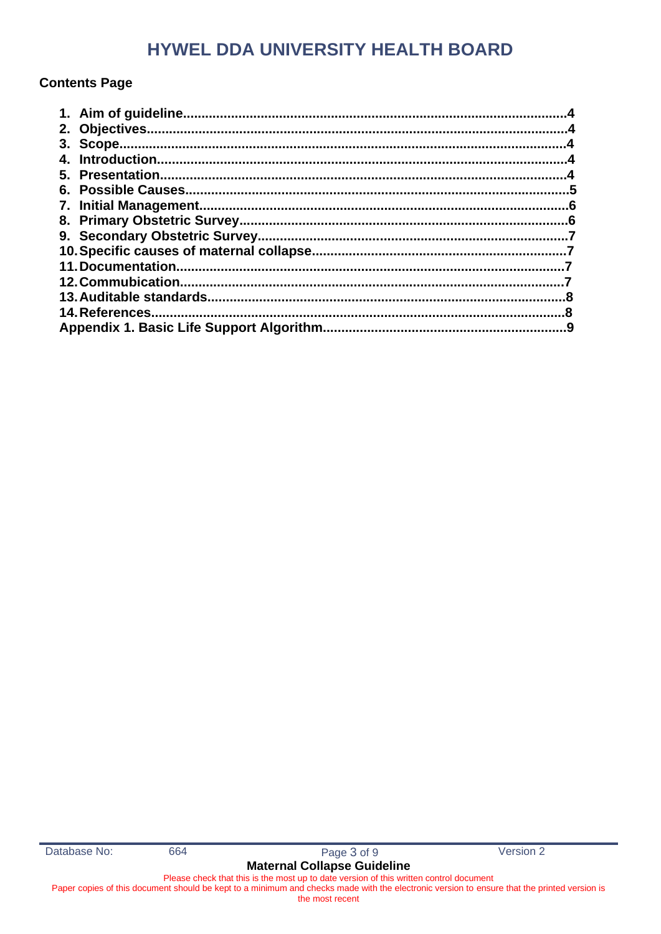### **Contents Page**

| 11. Documentation. |  |
|--------------------|--|
|                    |  |
|                    |  |
| 14. References.    |  |
|                    |  |
|                    |  |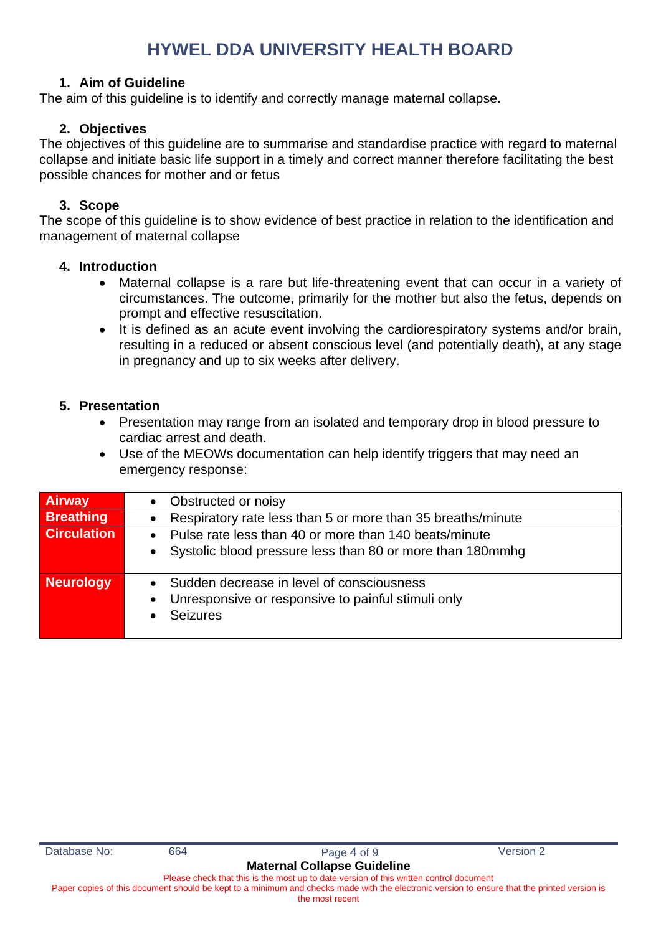### **1. Aim of Guideline**

The aim of this guideline is to identify and correctly manage maternal collapse.

### **2. Objectives**

The objectives of this guideline are to summarise and standardise practice with regard to maternal collapse and initiate basic life support in a timely and correct manner therefore facilitating the best possible chances for mother and or fetus

### **3. Scope**

The scope of this guideline is to show evidence of best practice in relation to the identification and management of maternal collapse

#### **4. Introduction**

- Maternal collapse is a rare but life-threatening event that can occur in a variety of circumstances. The outcome, primarily for the mother but also the fetus, depends on prompt and effective resuscitation.
- It is defined as an acute event involving the cardiorespiratory systems and/or brain, resulting in a reduced or absent conscious level (and potentially death), at any stage in pregnancy and up to six weeks after delivery.

### **5. Presentation**

- Presentation may range from an isolated and temporary drop in blood pressure to cardiac arrest and death.
- Use of the MEOWs documentation can help identify triggers that may need an emergency response:

| <b>Airway</b>      | Obstructed or noisy<br>$\bullet$                                                                                                             |
|--------------------|----------------------------------------------------------------------------------------------------------------------------------------------|
| <b>Breathing</b>   | Respiratory rate less than 5 or more than 35 breaths/minute<br>$\bullet$                                                                     |
| <b>Circulation</b> | Pulse rate less than 40 or more than 140 beats/minute<br>Systolic blood pressure less than 80 or more than 180mmhg<br>$\bullet$              |
| <b>Neurology</b>   | Sudden decrease in level of consciousness<br>$\bullet$<br>Unresponsive or responsive to painful stimuli only<br>$\bullet$<br><b>Seizures</b> |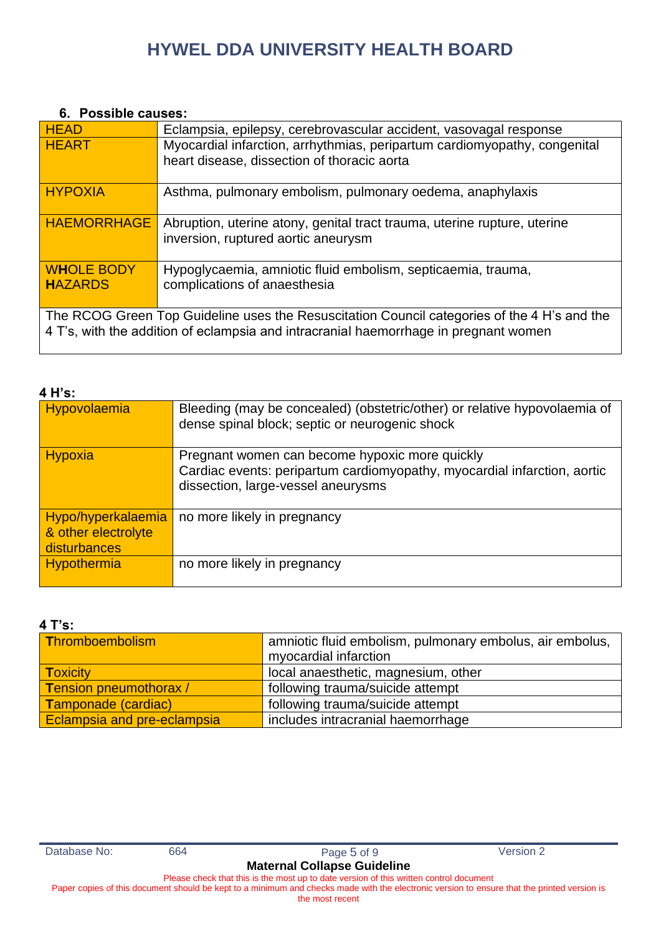#### **6. Possible causes:**

| <b>HEAD</b>                                                                                                                                                                         | Eclampsia, epilepsy, cerebrovascular accident, vasovagal response                                                        |  |
|-------------------------------------------------------------------------------------------------------------------------------------------------------------------------------------|--------------------------------------------------------------------------------------------------------------------------|--|
| <b>HEART</b>                                                                                                                                                                        | Myocardial infarction, arrhythmias, peripartum cardiomyopathy, congenital<br>heart disease, dissection of thoracic aorta |  |
|                                                                                                                                                                                     |                                                                                                                          |  |
| <b>HYPOXIA</b>                                                                                                                                                                      | Asthma, pulmonary embolism, pulmonary oedema, anaphylaxis                                                                |  |
| <b>HAEMORRHAGE</b>                                                                                                                                                                  | Abruption, uterine atony, genital tract trauma, uterine rupture, uterine<br>inversion, ruptured aortic aneurysm          |  |
| <b>WHOLE BODY</b><br><b>HAZARDS</b>                                                                                                                                                 | Hypoglycaemia, amniotic fluid embolism, septicaemia, trauma,<br>complications of anaesthesia                             |  |
| The RCOG Green Top Guideline uses the Resuscitation Council categories of the 4 H's and the<br>4 T's, with the addition of eclampsia and intracranial haemorrhage in pregnant women |                                                                                                                          |  |

### **4 H's:**

| Hypovolaemia        | Bleeding (may be concealed) (obstetric/other) or relative hypovolaemia of<br>dense spinal block; septic or neurogenic shock |
|---------------------|-----------------------------------------------------------------------------------------------------------------------------|
| Hypoxia             | Pregnant women can become hypoxic more quickly                                                                              |
|                     |                                                                                                                             |
|                     | Cardiac events: peripartum cardiomyopathy, myocardial infarction, aortic                                                    |
|                     |                                                                                                                             |
|                     | dissection, large-vessel aneurysms                                                                                          |
|                     |                                                                                                                             |
| Hypo/hyperkalaemia  | no more likely in pregnancy                                                                                                 |
| & other electrolyte |                                                                                                                             |
|                     |                                                                                                                             |
| disturbances        |                                                                                                                             |
| Hypothermia         | no more likely in pregnancy                                                                                                 |
|                     |                                                                                                                             |
|                     |                                                                                                                             |

#### **4 T's:**

| Thromboembolism               | amniotic fluid embolism, pulmonary embolus, air embolus, |  |
|-------------------------------|----------------------------------------------------------|--|
|                               | myocardial infarction                                    |  |
| <b>Toxicity</b>               | local anaesthetic, magnesium, other                      |  |
| <b>Tension pneumothorax /</b> | following trauma/suicide attempt                         |  |
| Tamponade (cardiac)           | following trauma/suicide attempt                         |  |
| Eclampsia and pre-eclampsia   | includes intracranial haemorrhage                        |  |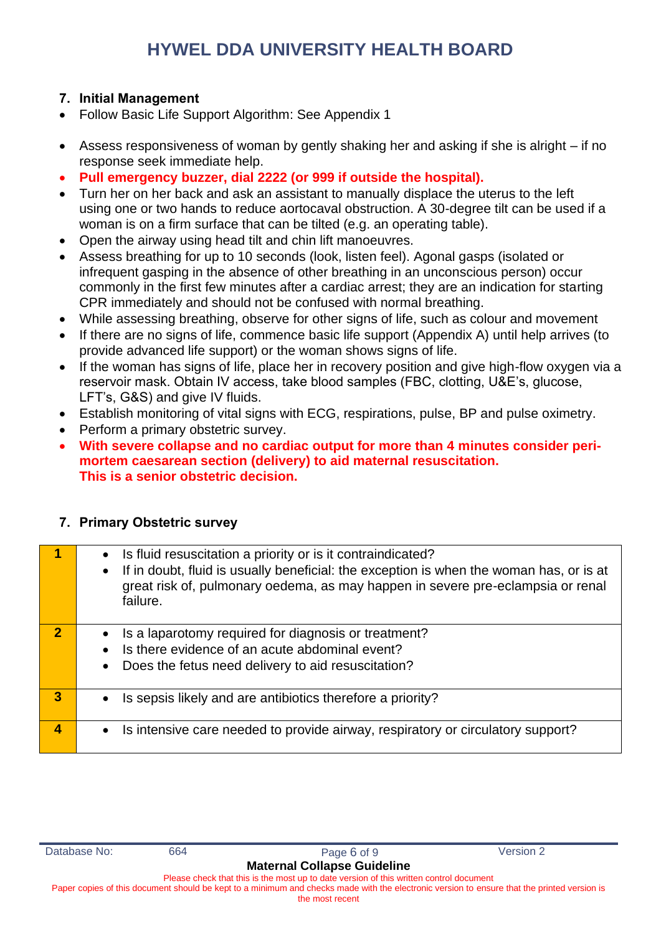### **7. Initial Management**

- Follow Basic Life Support Algorithm: See Appendix 1
- Assess responsiveness of woman by gently shaking her and asking if she is alright if no response seek immediate help.
- **Pull emergency buzzer, dial 2222 (or 999 if outside the hospital).**
- Turn her on her back and ask an assistant to manually displace the uterus to the left using one or two hands to reduce aortocaval obstruction. A 30-degree tilt can be used if a woman is on a firm surface that can be tilted (e.g. an operating table).
- Open the airway using head tilt and chin lift manoeuvres.
- Assess breathing for up to 10 seconds (look, listen feel). Agonal gasps (isolated or infrequent gasping in the absence of other breathing in an unconscious person) occur commonly in the first few minutes after a cardiac arrest; they are an indication for starting CPR immediately and should not be confused with normal breathing.
- While assessing breathing, observe for other signs of life, such as colour and movement
- If there are no signs of life, commence basic life support (Appendix A) until help arrives (to provide advanced life support) or the woman shows signs of life.
- If the woman has signs of life, place her in recovery position and give high-flow oxygen via a reservoir mask. Obtain IV access, take blood samples (FBC, clotting, U&E's, glucose, LFT's, G&S) and give IV fluids.
- Establish monitoring of vital signs with ECG, respirations, pulse, BP and pulse oximetry.
- Perform a primary obstetric survey.
- **With severe collapse and no cardiac output for more than 4 minutes consider perimortem caesarean section (delivery) to aid maternal resuscitation. This is a senior obstetric decision.**

|                | Is fluid resuscitation a priority or is it contraindicated?<br>If in doubt, fluid is usually beneficial: the exception is when the woman has, or is at<br>$\bullet$<br>great risk of, pulmonary oedema, as may happen in severe pre-eclampsia or renal<br>failure. |
|----------------|--------------------------------------------------------------------------------------------------------------------------------------------------------------------------------------------------------------------------------------------------------------------|
| $\overline{2}$ | Is a laparotomy required for diagnosis or treatment?<br>Is there evidence of an acute abdominal event?<br>Does the fetus need delivery to aid resuscitation?<br>$\bullet$                                                                                          |
| 3              | Is sepsis likely and are antibiotics therefore a priority?<br>$\bullet$                                                                                                                                                                                            |
| 4              | Is intensive care needed to provide airway, respiratory or circulatory support?<br>$\bullet$                                                                                                                                                                       |

### **7. Primary Obstetric survey**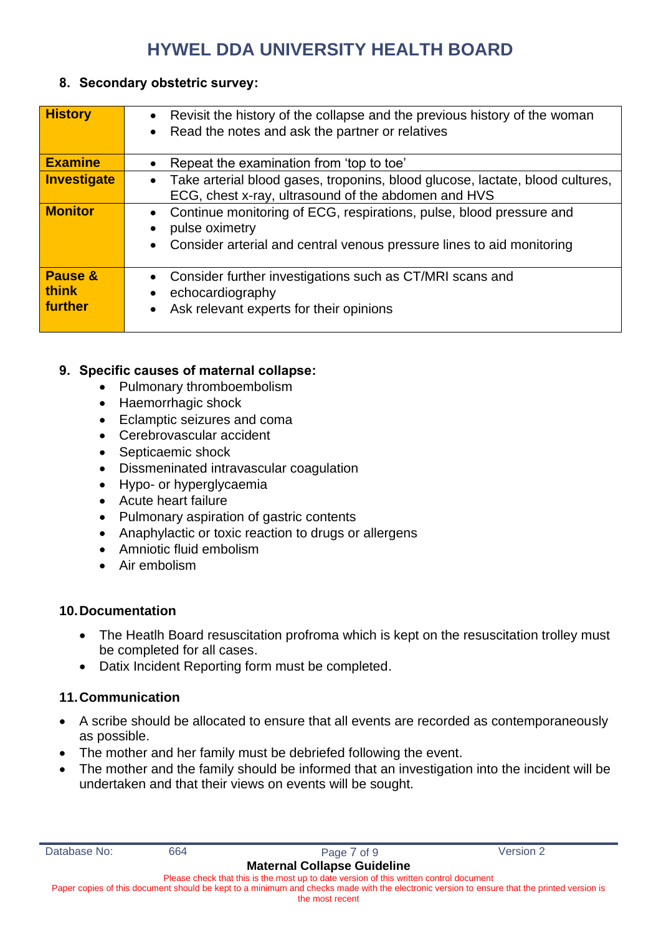### **8. Secondary obstetric survey:**

| <b>History</b>                     | Revisit the history of the collapse and the previous history of the woman<br>$\bullet$<br>Read the notes and ask the partner or relatives<br>$\bullet$         |  |  |  |  |
|------------------------------------|----------------------------------------------------------------------------------------------------------------------------------------------------------------|--|--|--|--|
|                                    |                                                                                                                                                                |  |  |  |  |
| <b>Examine</b>                     | Repeat the examination from 'top to toe'<br>$\bullet$                                                                                                          |  |  |  |  |
| Investigate                        | Take arterial blood gases, troponins, blood glucose, lactate, blood cultures,<br>$\bullet$<br>ECG, chest x-ray, ultrasound of the abdomen and HVS              |  |  |  |  |
| <b>Monitor</b>                     | Continue monitoring of ECG, respirations, pulse, blood pressure and<br>pulse oximetry<br>Consider arterial and central venous pressure lines to aid monitoring |  |  |  |  |
| Pause &<br><b>think</b><br>further | Consider further investigations such as CT/MRI scans and<br>echocardiography<br>Ask relevant experts for their opinions                                        |  |  |  |  |

### **9. Specific causes of maternal collapse:**

- Pulmonary thromboembolism
- Haemorrhagic shock
- Eclamptic seizures and coma
- Cerebrovascular accident
- Septicaemic shock
- Dissmeninated intravascular coagulation
- Hypo- or hyperglycaemia
- Acute heart failure
- Pulmonary aspiration of gastric contents
- Anaphylactic or toxic reaction to drugs or allergens
- Amniotic fluid embolism
- Air embolism

### **10.Documentation**

- The Heatlh Board resuscitation profroma which is kept on the resuscitation trolley must be completed for all cases.
- Datix Incident Reporting form must be completed.

### **11.Communication**

- A scribe should be allocated to ensure that all events are recorded as contemporaneously as possible.
- The mother and her family must be debriefed following the event.
- The mother and the family should be informed that an investigation into the incident will be undertaken and that their views on events will be sought.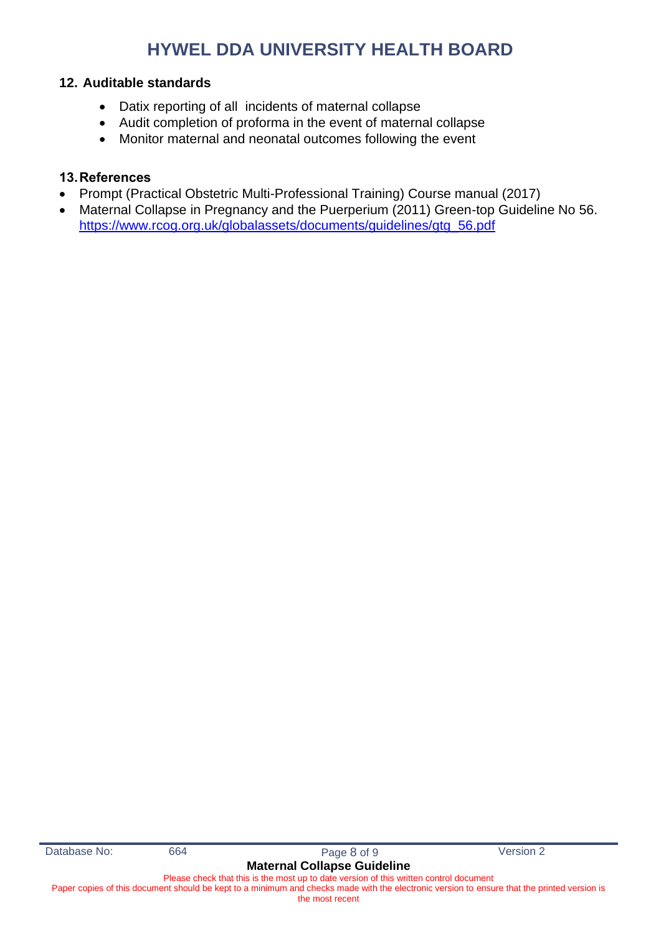#### **12. Auditable standards**

- Datix reporting of all incidents of maternal collapse
- Audit completion of proforma in the event of maternal collapse
- Monitor maternal and neonatal outcomes following the event

### **13.References**

- Prompt (Practical Obstetric Multi-Professional Training) Course manual (2017)
- Maternal Collapse in Pregnancy and the Puerperium (2011) Green-top Guideline No 56. [https://www.rcog.org.uk/globalassets/documents/guidelines/gtg\\_56.pdf](https://www.rcog.org.uk/globalassets/documents/guidelines/gtg_56.pdf)